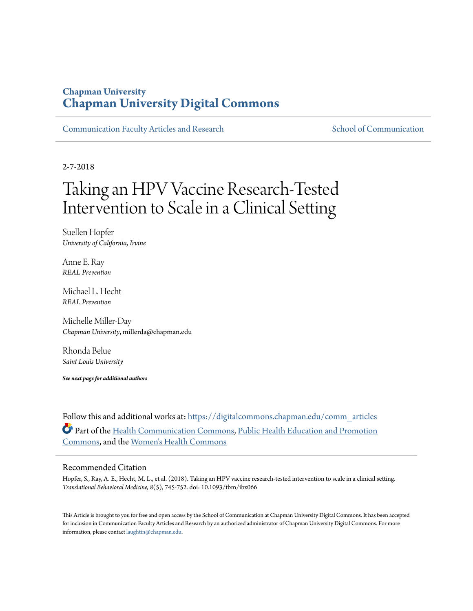### **Chapman University [Chapman University Digital Commons](https://digitalcommons.chapman.edu?utm_source=digitalcommons.chapman.edu%2Fcomm_articles%2F49&utm_medium=PDF&utm_campaign=PDFCoverPages)**

[Communication Faculty Articles and Research](https://digitalcommons.chapman.edu/comm_articles?utm_source=digitalcommons.chapman.edu%2Fcomm_articles%2F49&utm_medium=PDF&utm_campaign=PDFCoverPages) [School of Communication](https://digitalcommons.chapman.edu/communication?utm_source=digitalcommons.chapman.edu%2Fcomm_articles%2F49&utm_medium=PDF&utm_campaign=PDFCoverPages)

2-7-2018

# Taking an HPV Vaccine Research-Tested Intervention to Scale in a Clinical Setting

Suellen Hopfer *University of California, Irvine*

Anne E. Ray *REAL Prevention*

Michael L. Hecht *REAL Prevention*

Michelle Miller-Day *Chapman University*, millerda@chapman.edu

Rhonda Belue *Saint Louis University*

*See next page for additional authors*

Follow this and additional works at: [https://digitalcommons.chapman.edu/comm\\_articles](https://digitalcommons.chapman.edu/comm_articles?utm_source=digitalcommons.chapman.edu%2Fcomm_articles%2F49&utm_medium=PDF&utm_campaign=PDFCoverPages) Part of the [Health Communication Commons](http://network.bepress.com/hgg/discipline/330?utm_source=digitalcommons.chapman.edu%2Fcomm_articles%2F49&utm_medium=PDF&utm_campaign=PDFCoverPages), [Public Health Education and Promotion](http://network.bepress.com/hgg/discipline/743?utm_source=digitalcommons.chapman.edu%2Fcomm_articles%2F49&utm_medium=PDF&utm_campaign=PDFCoverPages) [Commons,](http://network.bepress.com/hgg/discipline/743?utm_source=digitalcommons.chapman.edu%2Fcomm_articles%2F49&utm_medium=PDF&utm_campaign=PDFCoverPages) and the [Women's Health Commons](http://network.bepress.com/hgg/discipline/1241?utm_source=digitalcommons.chapman.edu%2Fcomm_articles%2F49&utm_medium=PDF&utm_campaign=PDFCoverPages)

#### Recommended Citation

Hopfer, S., Ray, A. E., Hecht, M. L., et al. (2018). Taking an HPV vaccine research-tested intervention to scale in a clinical setting. *Translational Behavioral Medicine, 8*(5), 745-752. doi: 10.1093/tbm/ibx066

This Article is brought to you for free and open access by the School of Communication at Chapman University Digital Commons. It has been accepted for inclusion in Communication Faculty Articles and Research by an authorized administrator of Chapman University Digital Commons. For more information, please contact [laughtin@chapman.edu](mailto:laughtin@chapman.edu).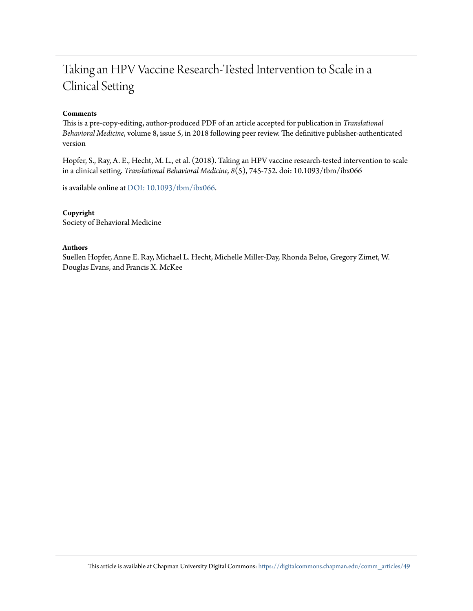## Taking an HPV Vaccine Research-Tested Intervention to Scale in a Clinical Setting

#### **Comments**

This is a pre-copy-editing, author-produced PDF of an article accepted for publication in *Translational Behavioral Medicine*, volume 8, issue 5, in 2018 following peer review. The definitive publisher-authenticated version

Hopfer, S., Ray, A. E., Hecht, M. L., et al. (2018). Taking an HPV vaccine research-tested intervention to scale in a clinical setting. *Translational Behavioral Medicine, 8*(5), 745-752. doi: 10.1093/tbm/ibx066

is available online at [DOI: 10.1093/tbm/ibx066](https://doi.org/10.1093/tbm/ibx066).

#### **Copyright**

Society of Behavioral Medicine

#### **Authors**

Suellen Hopfer, Anne E. Ray, Michael L. Hecht, Michelle Miller-Day, Rhonda Belue, Gregory Zimet, W. Douglas Evans, and Francis X. McKee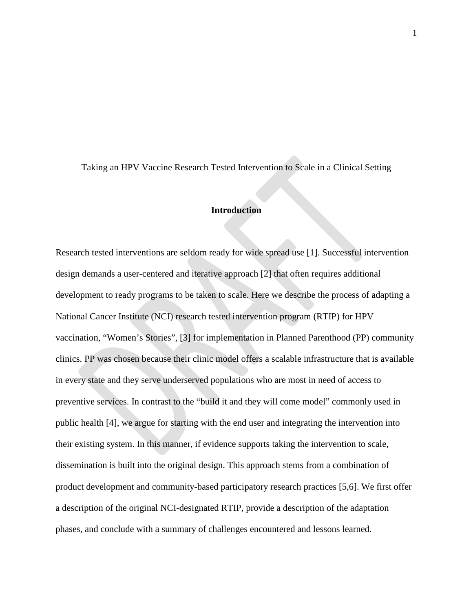Taking an HPV Vaccine Research Tested Intervention to Scale in a Clinical Setting

#### **Introduction**

Research tested interventions are seldom ready for wide spread use [1]. Successful intervention design demands a user-centered and iterative approach [2] that often requires additional development to ready programs to be taken to scale. Here we describe the process of adapting a National Cancer Institute (NCI) research tested intervention program (RTIP) for HPV vaccination, "Women's Stories", [3] for implementation in Planned Parenthood (PP) community clinics. PP was chosen because their clinic model offers a scalable infrastructure that is available in every state and they serve underserved populations who are most in need of access to preventive services. In contrast to the "build it and they will come model" commonly used in public health [4], we argue for starting with the end user and integrating the intervention into their existing system. In this manner, if evidence supports taking the intervention to scale, dissemination is built into the original design. This approach stems from a combination of product development and community-based participatory research practices [5,6]. We first offer a description of the original NCI-designated RTIP, provide a description of the adaptation phases, and conclude with a summary of challenges encountered and lessons learned.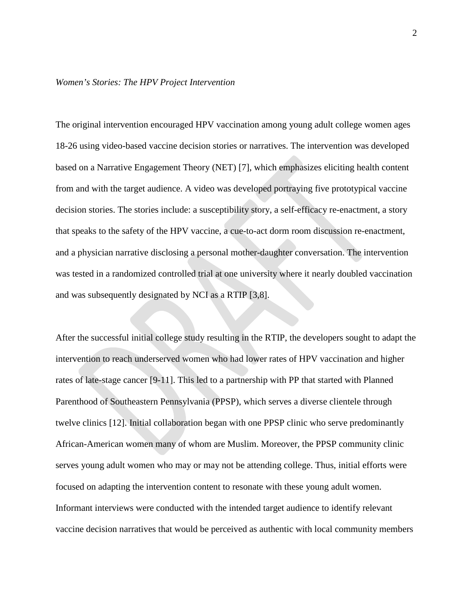#### *Women's Stories: The HPV Project Intervention*

The original intervention encouraged HPV vaccination among young adult college women ages 18-26 using video-based vaccine decision stories or narratives. The intervention was developed based on a Narrative Engagement Theory (NET) [7], which emphasizes eliciting health content from and with the target audience. A video was developed portraying five prototypical vaccine decision stories. The stories include: a susceptibility story, a self-efficacy re-enactment, a story that speaks to the safety of the HPV vaccine, a cue-to-act dorm room discussion re-enactment, and a physician narrative disclosing a personal mother-daughter conversation. The intervention was tested in a randomized controlled trial at one university where it nearly doubled vaccination and was subsequently designated by NCI as a RTIP [3,8].

After the successful initial college study resulting in the RTIP, the developers sought to adapt the intervention to reach underserved women who had lower rates of HPV vaccination and higher rates of late-stage cancer [9-11]. This led to a partnership with PP that started with Planned Parenthood of Southeastern Pennsylvania (PPSP), which serves a diverse clientele through twelve clinics [12]. Initial collaboration began with one PPSP clinic who serve predominantly African-American women many of whom are Muslim. Moreover, the PPSP community clinic serves young adult women who may or may not be attending college. Thus, initial efforts were focused on adapting the intervention content to resonate with these young adult women. Informant interviews were conducted with the intended target audience to identify relevant vaccine decision narratives that would be perceived as authentic with local community members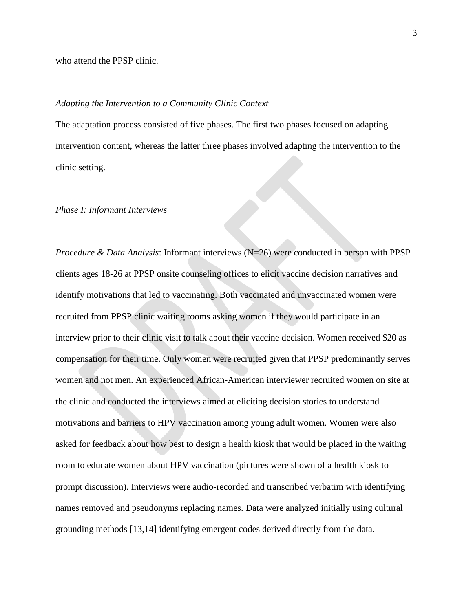who attend the PPSP clinic.

#### *Adapting the Intervention to a Community Clinic Context*

The adaptation process consisted of five phases. The first two phases focused on adapting intervention content, whereas the latter three phases involved adapting the intervention to the clinic setting.

#### *Phase I: Informant Interviews*

*Procedure & Data Analysis*: Informant interviews (N=26) were conducted in person with PPSP clients ages 18-26 at PPSP onsite counseling offices to elicit vaccine decision narratives and identify motivations that led to vaccinating. Both vaccinated and unvaccinated women were recruited from PPSP clinic waiting rooms asking women if they would participate in an interview prior to their clinic visit to talk about their vaccine decision. Women received \$20 as compensation for their time. Only women were recruited given that PPSP predominantly serves women and not men. An experienced African-American interviewer recruited women on site at the clinic and conducted the interviews aimed at eliciting decision stories to understand motivations and barriers to HPV vaccination among young adult women. Women were also asked for feedback about how best to design a health kiosk that would be placed in the waiting room to educate women about HPV vaccination (pictures were shown of a health kiosk to prompt discussion). Interviews were audio-recorded and transcribed verbatim with identifying names removed and pseudonyms replacing names. Data were analyzed initially using cultural grounding methods [13,14] identifying emergent codes derived directly from the data.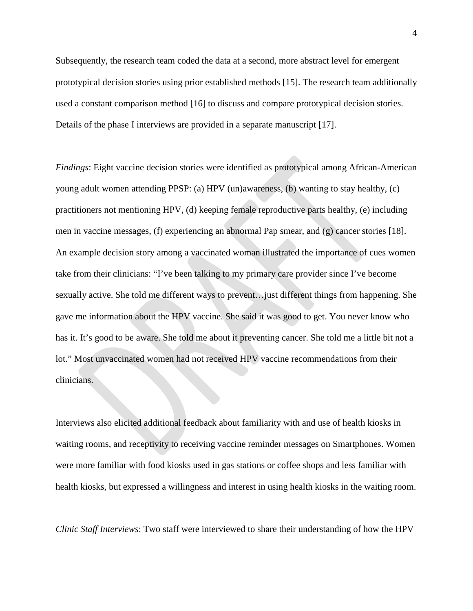Subsequently, the research team coded the data at a second, more abstract level for emergent prototypical decision stories using prior established methods [15]. The research team additionally used a constant comparison method [16] to discuss and compare prototypical decision stories. Details of the phase I interviews are provided in a separate manuscript [17].

*Findings*: Eight vaccine decision stories were identified as prototypical among African-American young adult women attending PPSP: (a) HPV (un)awareness, (b) wanting to stay healthy, (c) practitioners not mentioning HPV, (d) keeping female reproductive parts healthy, (e) including men in vaccine messages, (f) experiencing an abnormal Pap smear, and (g) cancer stories [18]. An example decision story among a vaccinated woman illustrated the importance of cues women take from their clinicians: "I've been talking to my primary care provider since I've become sexually active. She told me different ways to prevent…just different things from happening. She gave me information about the HPV vaccine. She said it was good to get. You never know who has it. It's good to be aware. She told me about it preventing cancer. She told me a little bit not a lot." Most unvaccinated women had not received HPV vaccine recommendations from their clinicians.

Interviews also elicited additional feedback about familiarity with and use of health kiosks in waiting rooms, and receptivity to receiving vaccine reminder messages on Smartphones. Women were more familiar with food kiosks used in gas stations or coffee shops and less familiar with health kiosks, but expressed a willingness and interest in using health kiosks in the waiting room.

*Clinic Staff Interviews*: Two staff were interviewed to share their understanding of how the HPV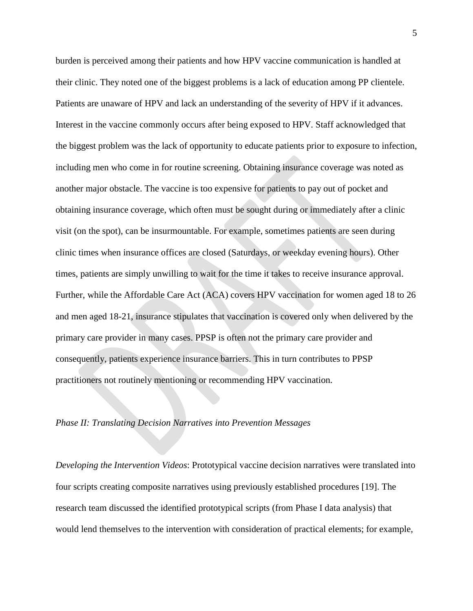burden is perceived among their patients and how HPV vaccine communication is handled at their clinic. They noted one of the biggest problems is a lack of education among PP clientele. Patients are unaware of HPV and lack an understanding of the severity of HPV if it advances. Interest in the vaccine commonly occurs after being exposed to HPV. Staff acknowledged that the biggest problem was the lack of opportunity to educate patients prior to exposure to infection, including men who come in for routine screening. Obtaining insurance coverage was noted as another major obstacle. The vaccine is too expensive for patients to pay out of pocket and obtaining insurance coverage, which often must be sought during or immediately after a clinic visit (on the spot), can be insurmountable. For example, sometimes patients are seen during clinic times when insurance offices are closed (Saturdays, or weekday evening hours). Other times, patients are simply unwilling to wait for the time it takes to receive insurance approval. Further, while the Affordable Care Act (ACA) covers HPV vaccination for women aged 18 to 26 and men aged 18-21, insurance stipulates that vaccination is covered only when delivered by the primary care provider in many cases. PPSP is often not the primary care provider and consequently, patients experience insurance barriers. This in turn contributes to PPSP practitioners not routinely mentioning or recommending HPV vaccination.

#### *Phase II: Translating Decision Narratives into Prevention Messages*

*Developing the Intervention Videos*: Prototypical vaccine decision narratives were translated into four scripts creating composite narratives using previously established procedures [19]. The research team discussed the identified prototypical scripts (from Phase I data analysis) that would lend themselves to the intervention with consideration of practical elements; for example,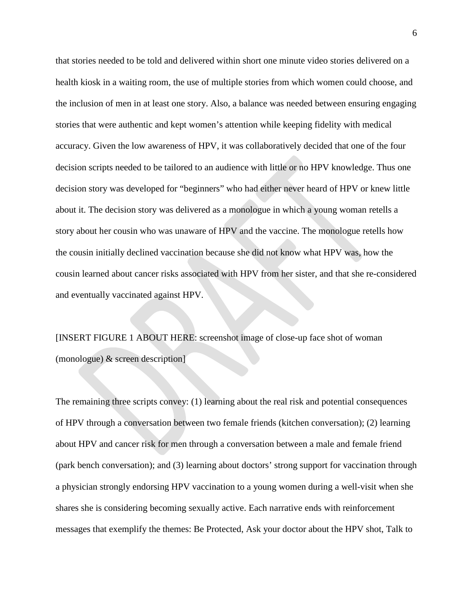that stories needed to be told and delivered within short one minute video stories delivered on a health kiosk in a waiting room, the use of multiple stories from which women could choose, and the inclusion of men in at least one story. Also, a balance was needed between ensuring engaging stories that were authentic and kept women's attention while keeping fidelity with medical accuracy. Given the low awareness of HPV, it was collaboratively decided that one of the four decision scripts needed to be tailored to an audience with little or no HPV knowledge. Thus one decision story was developed for "beginners" who had either never heard of HPV or knew little about it. The decision story was delivered as a monologue in which a young woman retells a story about her cousin who was unaware of HPV and the vaccine. The monologue retells how the cousin initially declined vaccination because she did not know what HPV was, how the cousin learned about cancer risks associated with HPV from her sister, and that she re-considered and eventually vaccinated against HPV.

[INSERT FIGURE 1 ABOUT HERE: screenshot image of close-up face shot of woman (monologue) & screen description]

The remaining three scripts convey: (1) learning about the real risk and potential consequences of HPV through a conversation between two female friends (kitchen conversation); (2) learning about HPV and cancer risk for men through a conversation between a male and female friend (park bench conversation); and (3) learning about doctors' strong support for vaccination through a physician strongly endorsing HPV vaccination to a young women during a well-visit when she shares she is considering becoming sexually active. Each narrative ends with reinforcement messages that exemplify the themes: Be Protected, Ask your doctor about the HPV shot, Talk to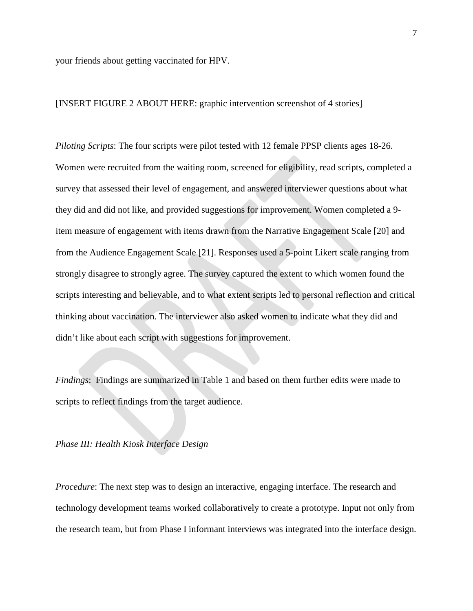your friends about getting vaccinated for HPV.

#### [INSERT FIGURE 2 ABOUT HERE: graphic intervention screenshot of 4 stories]

*Piloting Scripts*: The four scripts were pilot tested with 12 female PPSP clients ages 18-26. Women were recruited from the waiting room, screened for eligibility, read scripts, completed a survey that assessed their level of engagement, and answered interviewer questions about what they did and did not like, and provided suggestions for improvement. Women completed a 9 item measure of engagement with items drawn from the Narrative Engagement Scale [20] and from the Audience Engagement Scale [21]. Responses used a 5-point Likert scale ranging from strongly disagree to strongly agree. The survey captured the extent to which women found the scripts interesting and believable, and to what extent scripts led to personal reflection and critical thinking about vaccination. The interviewer also asked women to indicate what they did and didn't like about each script with suggestions for improvement.

*Findings*: Findings are summarized in Table 1 and based on them further edits were made to scripts to reflect findings from the target audience.

#### *Phase III: Health Kiosk Interface Design*

*Procedure*: The next step was to design an interactive, engaging interface. The research and technology development teams worked collaboratively to create a prototype. Input not only from the research team, but from Phase I informant interviews was integrated into the interface design.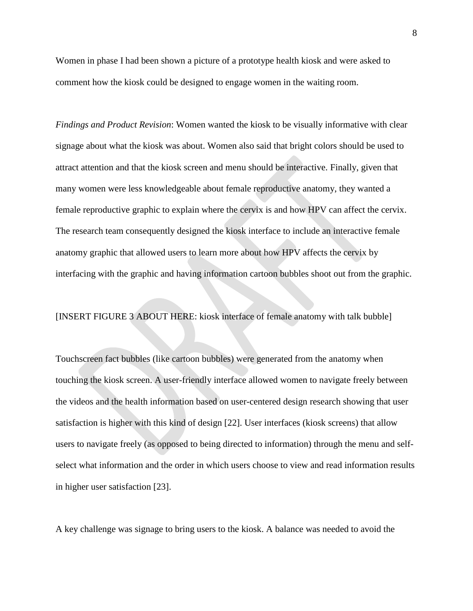Women in phase I had been shown a picture of a prototype health kiosk and were asked to comment how the kiosk could be designed to engage women in the waiting room.

*Findings and Product Revision*: Women wanted the kiosk to be visually informative with clear signage about what the kiosk was about. Women also said that bright colors should be used to attract attention and that the kiosk screen and menu should be interactive. Finally, given that many women were less knowledgeable about female reproductive anatomy, they wanted a female reproductive graphic to explain where the cervix is and how HPV can affect the cervix. The research team consequently designed the kiosk interface to include an interactive female anatomy graphic that allowed users to learn more about how HPV affects the cervix by interfacing with the graphic and having information cartoon bubbles shoot out from the graphic.

[INSERT FIGURE 3 ABOUT HERE: kiosk interface of female anatomy with talk bubble]

Touchscreen fact bubbles (like cartoon bubbles) were generated from the anatomy when touching the kiosk screen. A user-friendly interface allowed women to navigate freely between the videos and the health information based on user-centered design research showing that user satisfaction is higher with this kind of design [22]. User interfaces (kiosk screens) that allow users to navigate freely (as opposed to being directed to information) through the menu and selfselect what information and the order in which users choose to view and read information results in higher user satisfaction [23].

A key challenge was signage to bring users to the kiosk. A balance was needed to avoid the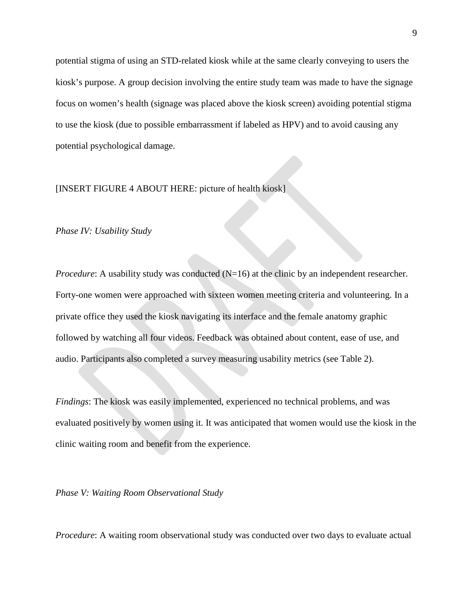potential stigma of using an STD-related kiosk while at the same clearly conveying to users the kiosk's purpose. A group decision involving the entire study team was made to have the signage focus on women's health (signage was placed above the kiosk screen) avoiding potential stigma to use the kiosk (due to possible embarrassment if labeled as HPV) and to avoid causing any potential psychological damage.

#### [INSERT FIGURE 4 ABOUT HERE: picture of health kiosk]

#### *Phase IV: Usability Study*

*Procedure*: A usability study was conducted (N=16) at the clinic by an independent researcher. Forty-one women were approached with sixteen women meeting criteria and volunteering. In a private office they used the kiosk navigating its interface and the female anatomy graphic followed by watching all four videos. Feedback was obtained about content, ease of use, and audio. Participants also completed a survey measuring usability metrics (see Table 2).

*Findings*: The kiosk was easily implemented, experienced no technical problems, and was evaluated positively by women using it. It was anticipated that women would use the kiosk in the clinic waiting room and benefit from the experience.

*Phase V: Waiting Room Observational Study*

*Procedure*: A waiting room observational study was conducted over two days to evaluate actual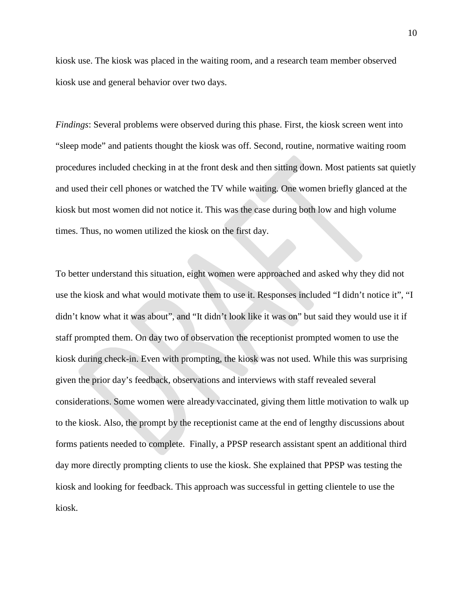kiosk use. The kiosk was placed in the waiting room, and a research team member observed kiosk use and general behavior over two days.

*Findings*: Several problems were observed during this phase. First, the kiosk screen went into "sleep mode" and patients thought the kiosk was off. Second, routine, normative waiting room procedures included checking in at the front desk and then sitting down. Most patients sat quietly and used their cell phones or watched the TV while waiting. One women briefly glanced at the kiosk but most women did not notice it. This was the case during both low and high volume times. Thus, no women utilized the kiosk on the first day.

To better understand this situation, eight women were approached and asked why they did not use the kiosk and what would motivate them to use it. Responses included "I didn't notice it", "I didn't know what it was about", and "It didn't look like it was on" but said they would use it if staff prompted them. On day two of observation the receptionist prompted women to use the kiosk during check-in. Even with prompting, the kiosk was not used. While this was surprising given the prior day's feedback, observations and interviews with staff revealed several considerations. Some women were already vaccinated, giving them little motivation to walk up to the kiosk. Also, the prompt by the receptionist came at the end of lengthy discussions about forms patients needed to complete. Finally, a PPSP research assistant spent an additional third day more directly prompting clients to use the kiosk. She explained that PPSP was testing the kiosk and looking for feedback. This approach was successful in getting clientele to use the kiosk.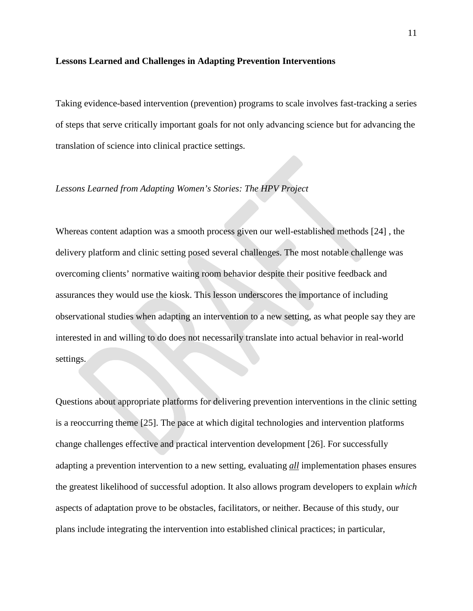#### **Lessons Learned and Challenges in Adapting Prevention Interventions**

Taking evidence-based intervention (prevention) programs to scale involves fast-tracking a series of steps that serve critically important goals for not only advancing science but for advancing the translation of science into clinical practice settings.

#### *Lessons Learned from Adapting Women's Stories: The HPV Project*

Whereas content adaption was a smooth process given our well-established methods [24] , the delivery platform and clinic setting posed several challenges. The most notable challenge was overcoming clients' normative waiting room behavior despite their positive feedback and assurances they would use the kiosk. This lesson underscores the importance of including observational studies when adapting an intervention to a new setting, as what people say they are interested in and willing to do does not necessarily translate into actual behavior in real-world settings.

Questions about appropriate platforms for delivering prevention interventions in the clinic setting is a reoccurring theme [25]. The pace at which digital technologies and intervention platforms change challenges effective and practical intervention development [26]. For successfully adapting a prevention intervention to a new setting, evaluating *all* implementation phases ensures the greatest likelihood of successful adoption. It also allows program developers to explain *which* aspects of adaptation prove to be obstacles, facilitators, or neither. Because of this study, our plans include integrating the intervention into established clinical practices; in particular,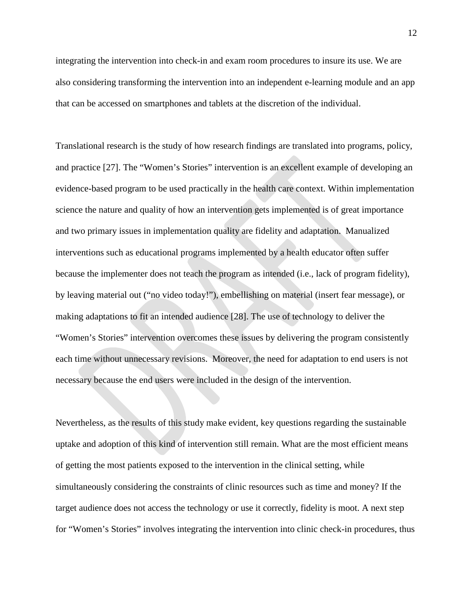integrating the intervention into check-in and exam room procedures to insure its use. We are also considering transforming the intervention into an independent e-learning module and an app that can be accessed on smartphones and tablets at the discretion of the individual.

Translational research is the study of how research findings are translated into programs, policy, and practice [27]. The "Women's Stories" intervention is an excellent example of developing an evidence-based program to be used practically in the health care context. Within implementation science the nature and quality of how an intervention gets implemented is of great importance and two primary issues in implementation quality are fidelity and adaptation. Manualized interventions such as educational programs implemented by a health educator often suffer because the implementer does not teach the program as intended (i.e., lack of program fidelity), by leaving material out ("no video today!"), embellishing on material (insert fear message), or making adaptations to fit an intended audience [28]. The use of technology to deliver the "Women's Stories" intervention overcomes these issues by delivering the program consistently each time without unnecessary revisions. Moreover, the need for adaptation to end users is not necessary because the end users were included in the design of the intervention.

Nevertheless, as the results of this study make evident, key questions regarding the sustainable uptake and adoption of this kind of intervention still remain. What are the most efficient means of getting the most patients exposed to the intervention in the clinical setting, while simultaneously considering the constraints of clinic resources such as time and money? If the target audience does not access the technology or use it correctly, fidelity is moot. A next step for "Women's Stories" involves integrating the intervention into clinic check-in procedures, thus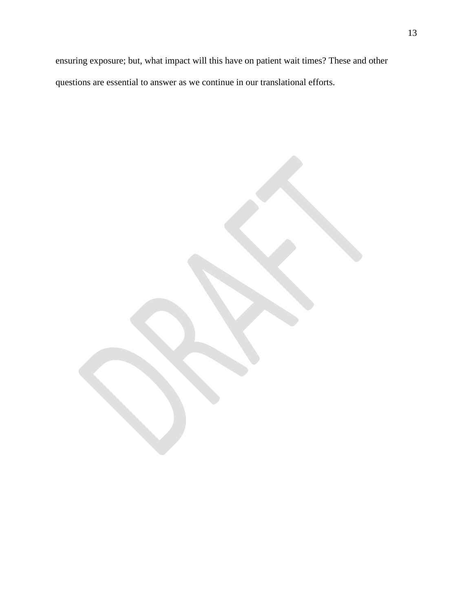ensuring exposure; but, what impact will this have on patient wait times? These and other questions are essential to answer as we continue in our translational efforts.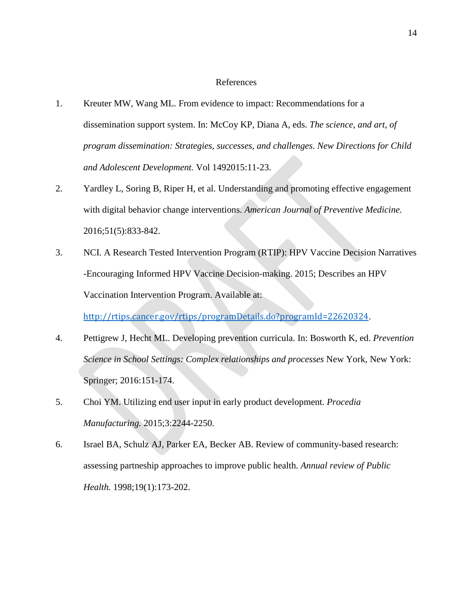#### References

- 1. Kreuter MW, Wang ML. From evidence to impact: Recommendations for a dissemination support system. In: McCoy KP, Diana A, eds. *The science, and art, of program dissemination: Strategies, successes, and challenges. New Directions for Child and Adolescent Development.* Vol 1492015:11-23.
- 2. Yardley L, Soring B, Riper H, et al. Understanding and promoting effective engagement with digital behavior change interventions. *American Journal of Preventive Medicine.*  2016;51(5):833-842.
- 3. NCI. A Research Tested Intervention Program (RTIP): HPV Vaccine Decision Narratives -Encouraging Informed HPV Vaccine Decision-making. 2015; Describes an HPV Vaccination Intervention Program. Available at:

<http://rtips.cancer.gov/rtips/programDetails.do?programId=22620324>.

- 4. Pettigrew J, Hecht ML. Developing prevention curricula. In: Bosworth K, ed. *Prevention Science in School Settings: Complex relationships and processes* New York, New York: Springer; 2016:151-174.
- 5. Choi YM. Utilizing end user input in early product development. *Procedia Manufacturing.* 2015;3:2244-2250.
- 6. Israel BA, Schulz AJ, Parker EA, Becker AB. Review of community-based research: assessing partneship approaches to improve public health. *Annual review of Public Health.* 1998;19(1):173-202.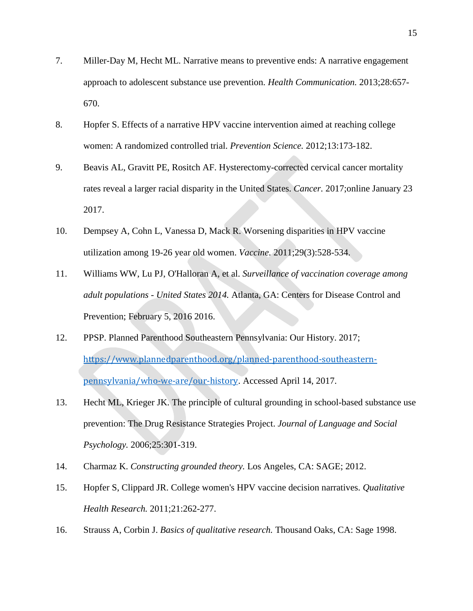- 7. Miller-Day M, Hecht ML. Narrative means to preventive ends: A narrative engagement approach to adolescent substance use prevention. *Health Communication.* 2013;28:657- 670.
- 8. Hopfer S. Effects of a narrative HPV vaccine intervention aimed at reaching college women: A randomized controlled trial. *Prevention Science.* 2012;13:173-182.
- 9. Beavis AL, Gravitt PE, Rositch AF. Hysterectomy-corrected cervical cancer mortality rates reveal a larger racial disparity in the United States. *Cancer.* 2017;online January 23 2017.
- 10. Dempsey A, Cohn L, Vanessa D, Mack R. Worsening disparities in HPV vaccine utilization among 19-26 year old women. *Vaccine.* 2011;29(3):528-534.
- 11. Williams WW, Lu PJ, O'Halloran A, et al. *Surveillance of vaccination coverage among adult populations - United States 2014.* Atlanta, GA: Centers for Disease Control and Prevention; February 5, 2016 2016.
- 12. PPSP. Planned Parenthood Southeastern Pennsylvania: Our History. 2017; [https://www.plannedparenthood.org/planned-parenthood-southeastern](https://www.plannedparenthood.org/planned-parenthood-southeastern-pennsylvania/who-we-are/our-history)[pennsylvania/who-we-are/our-history](https://www.plannedparenthood.org/planned-parenthood-southeastern-pennsylvania/who-we-are/our-history). Accessed April 14, 2017.
- 13. Hecht ML, Krieger JK. The principle of cultural grounding in school-based substance use prevention: The Drug Resistance Strategies Project. *Journal of Language and Social Psychology.* 2006;25:301-319.
- 14. Charmaz K. *Constructing grounded theory.* Los Angeles, CA: SAGE; 2012.
- 15. Hopfer S, Clippard JR. College women's HPV vaccine decision narratives. *Qualitative Health Research.* 2011;21:262-277.
- 16. Strauss A, Corbin J. *Basics of qualitative research.* Thousand Oaks, CA: Sage 1998.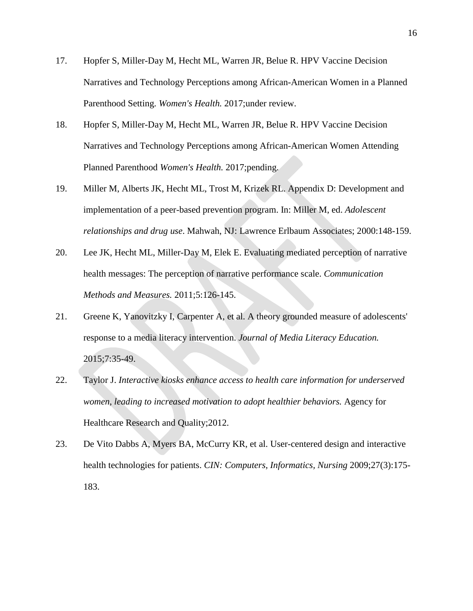- 17. Hopfer S, Miller-Day M, Hecht ML, Warren JR, Belue R. HPV Vaccine Decision Narratives and Technology Perceptions among African-American Women in a Planned Parenthood Setting. *Women's Health.* 2017;under review.
- 18. Hopfer S, Miller-Day M, Hecht ML, Warren JR, Belue R. HPV Vaccine Decision Narratives and Technology Perceptions among African-American Women Attending Planned Parenthood *Women's Health.* 2017;pending.
- 19. Miller M, Alberts JK, Hecht ML, Trost M, Krizek RL. Appendix D: Development and implementation of a peer-based prevention program. In: Miller M, ed. *Adolescent relationships and drug use*. Mahwah, NJ: Lawrence Erlbaum Associates; 2000:148-159.
- 20. Lee JK, Hecht ML, Miller-Day M, Elek E. Evaluating mediated perception of narrative health messages: The perception of narrative performance scale. *Communication Methods and Measures.* 2011;5:126-145.
- 21. Greene K, Yanovitzky I, Carpenter A, et al. A theory grounded measure of adolescents' response to a media literacy intervention. *Journal of Media Literacy Education.*  2015;7:35-49.
- 22. Taylor J. *Interactive kiosks enhance access to health care information for underserved women, leading to increased motivation to adopt healthier behaviors.* Agency for Healthcare Research and Quality;2012.
- 23. De Vito Dabbs A, Myers BA, McCurry KR, et al. User-centered design and interactive health technologies for patients. *CIN: Computers, Informatics, Nursing* 2009;27(3):175- 183.